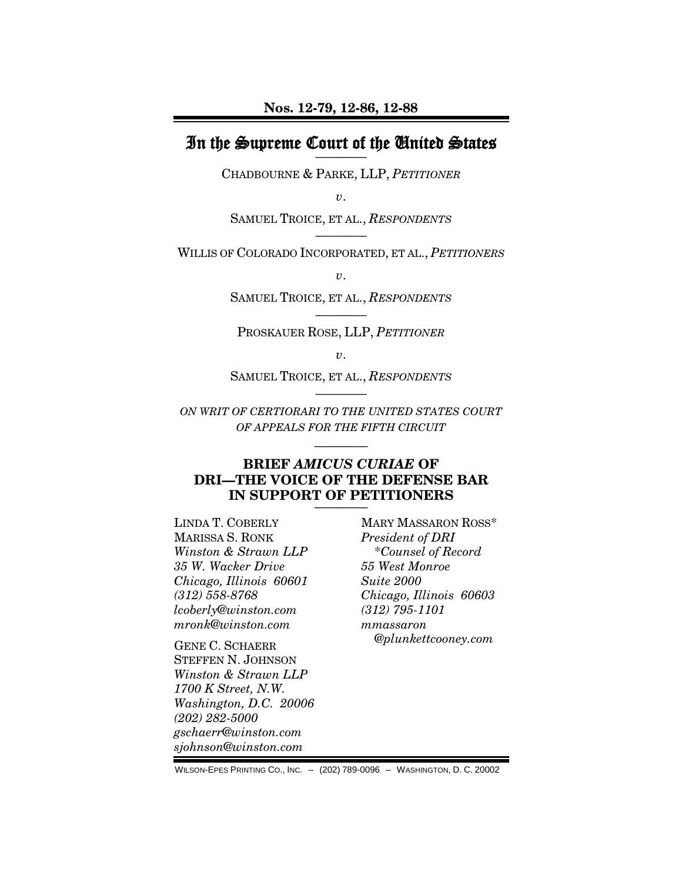## In the Supreme Court of the United States

CHADBOURNE & PARKE, LLP, *PETITIONER*

*v*.

SAMUEL TROICE, ET AL., *RESPONDENTS* ————

WILLIS OF COLORADO INCORPORATED, ET AL., *PETITIONERS*

*v*.

SAMUEL TROICE, ET AL., *RESPONDENTS* ————

PROSKAUER ROSE, LLP, *PETITIONER*

*v*.

SAMUEL TROICE, ET AL., *RESPONDENTS* ————

*ON WRIT OF CERTIORARI TO THE UNITED STATES COURT OF APPEALS FOR THE FIFTH CIRCUIT*

————

#### **BRIEF** *AMICUS CURIAE* **OF DRI—THE VOICE OF THE DEFENSE BAR** IN SUPPORT OF PETITIONERS

LINDA T. COBERLY MARISSA S. RONK *Winston & Strawn LLP 35 W. Wacker Drive Chicago, Illinois 60601 (312) 558-8768 lcoberly@winston.com [mronk@winston.com](mailto:mronk@winston.com)*

GENE C. SCHAERR STEFFEN N. JOHNSON *Winston & Strawn LLP 1700 K Street, N.W. Washington, D.C. 20006 (202) 282-5000 gschaerr@winston.com sjohnson@winston.com*

MARY MASSARON ROSS\* *President of DRI* \**Counsel of Record 55 West Monroe Suite 2000 Chicago, Illinois 60603 (312) 795-1101 mmassaron @plunkettcooney.com*

WILSON-EPES PRINTING CO., INC. – (202) 789-0096 – WASHINGTON, D. C. 20002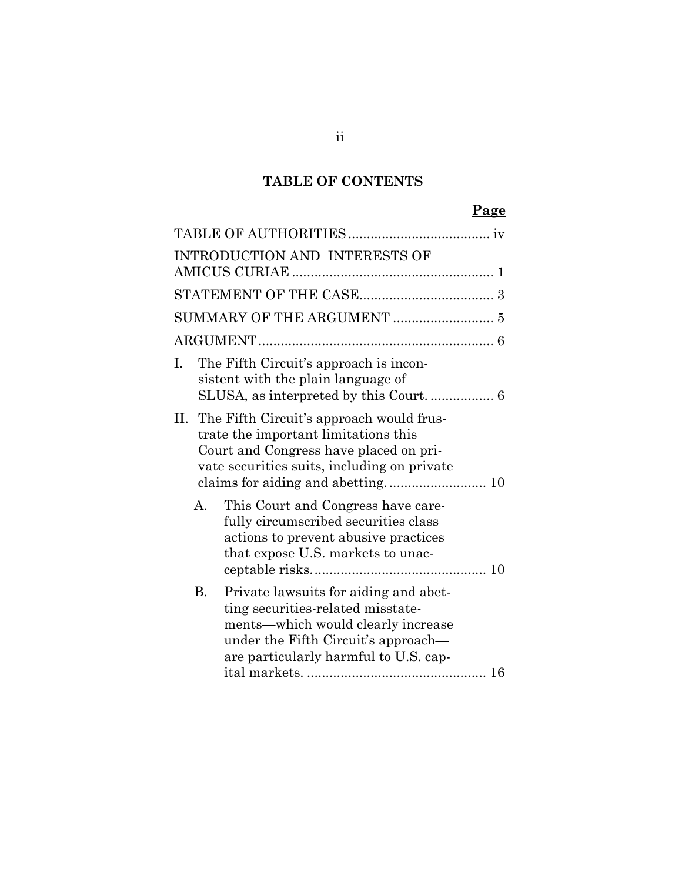# **TABLE OF CONTENTS**

# **Page**

|    |    | INTRODUCTION AND INTERESTS OF                                                                                                                                                                    |  |  |  |
|----|----|--------------------------------------------------------------------------------------------------------------------------------------------------------------------------------------------------|--|--|--|
|    |    |                                                                                                                                                                                                  |  |  |  |
|    |    |                                                                                                                                                                                                  |  |  |  |
|    |    |                                                                                                                                                                                                  |  |  |  |
| I. |    | The Fifth Circuit's approach is incon-<br>sistent with the plain language of                                                                                                                     |  |  |  |
|    |    | II. The Fifth Circuit's approach would frus-<br>trate the important limitations this<br>Court and Congress have placed on pri-<br>vate securities suits, including on private                    |  |  |  |
|    | А. | This Court and Congress have care-<br>fully circumscribed securities class<br>actions to prevent abusive practices<br>that expose U.S. markets to unac-                                          |  |  |  |
|    | B. | Private lawsuits for aiding and abet-<br>ting securities-related misstate-<br>ments—which would clearly increase<br>under the Fifth Circuit's approach—<br>are particularly harmful to U.S. cap- |  |  |  |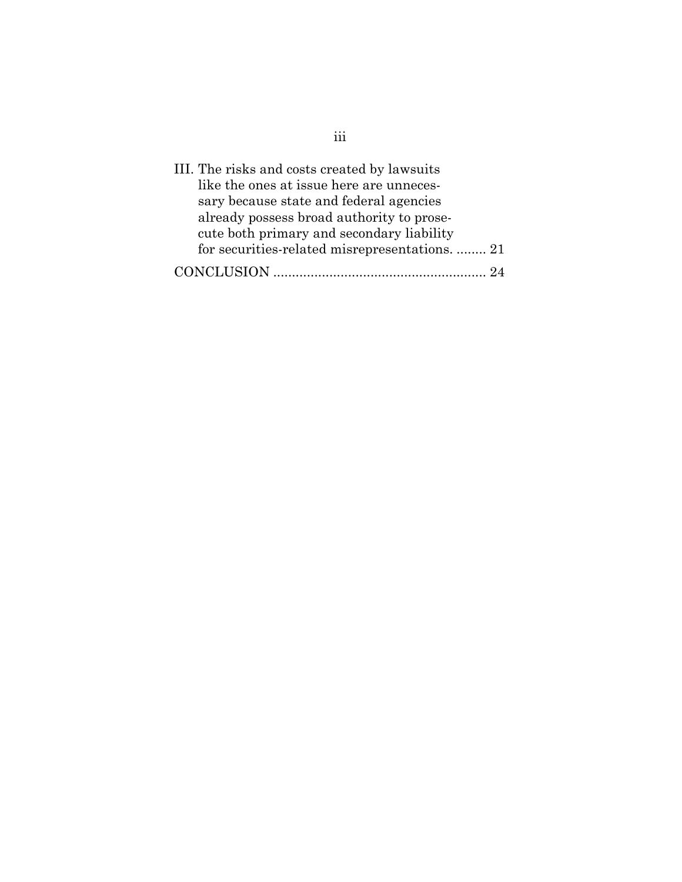| III. The risks and costs created by lawsuits   |  |
|------------------------------------------------|--|
| like the ones at issue here are unneces-       |  |
| sary because state and federal agencies        |  |
| already possess broad authority to prose-      |  |
| cute both primary and secondary liability      |  |
| for securities-related misrepresentations.  21 |  |
|                                                |  |

iii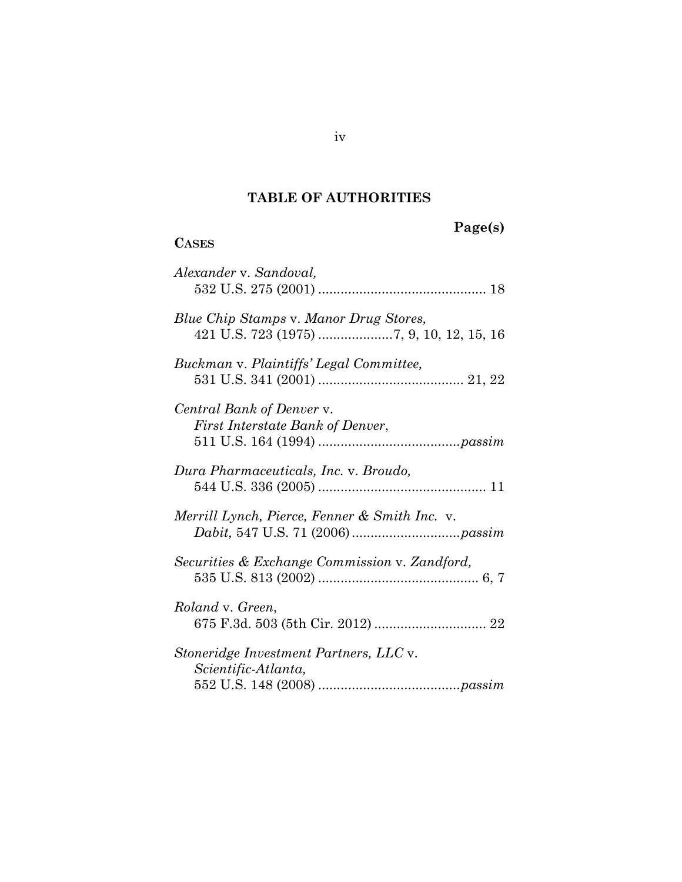# **TABLE OF AUTHORITIES**

# **Page(s)**

## <span id="page-3-0"></span>**CASES**

| Alexander v. Sandoval,                                        |
|---------------------------------------------------------------|
| Blue Chip Stamps v. Manor Drug Stores,                        |
| Buckman v. Plaintiffs' Legal Committee,                       |
| Central Bank of Denver v.<br>First Interstate Bank of Denver, |
| Dura Pharmaceuticals, Inc. v. Broudo,                         |
| Merrill Lynch, Pierce, Fenner & Smith Inc. v.                 |
| Securities & Exchange Commission v. Zandford,                 |
| Roland v. Green,                                              |
| Stoneridge Investment Partners, LLC v.<br>Scientific-Atlanta, |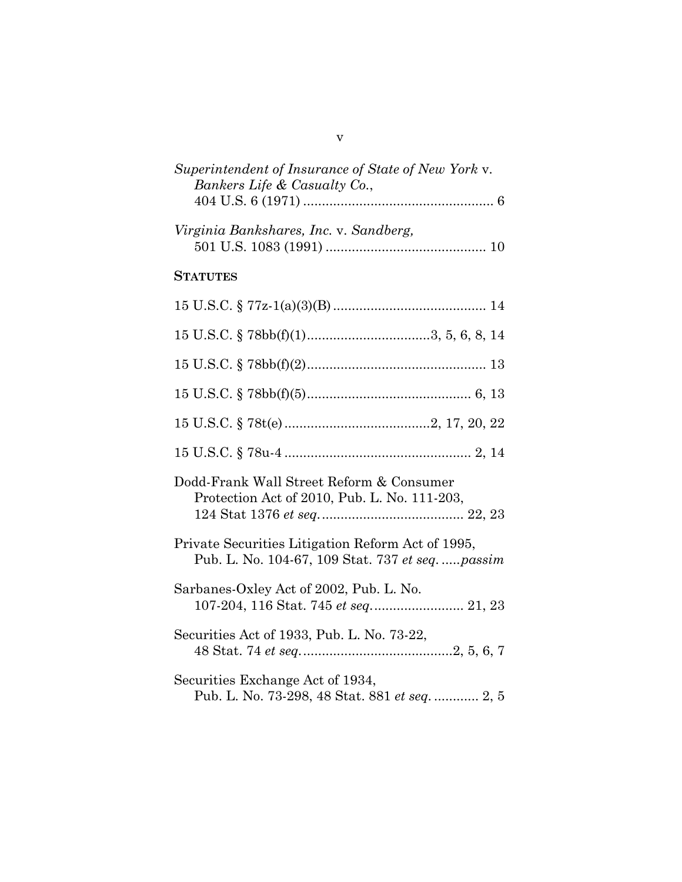| Superintendent of Insurance of State of New York v.<br>Bankers Life & Casualty Co.,                 |
|-----------------------------------------------------------------------------------------------------|
| Virginia Bankshares, Inc. v. Sandberg,                                                              |
| <b>STATUTES</b>                                                                                     |
|                                                                                                     |
| $15$ U.S.C. § $78bb(f)(1)$ 3, 5, 6, 8, 14                                                           |
|                                                                                                     |
|                                                                                                     |
|                                                                                                     |
|                                                                                                     |
| Dodd-Frank Wall Street Reform & Consumer<br>Protection Act of 2010, Pub. L. No. 111-203,            |
| Private Securities Litigation Reform Act of 1995,<br>Pub. L. No. 104-67, 109 Stat. 737 et seqpassim |
| Sarbanes-Oxley Act of 2002, Pub. L. No.                                                             |
| Securities Act of 1933, Pub. L. No. 73-22,                                                          |
| Securities Exchange Act of 1934,<br>Pub. L. No. 73-298, 48 Stat. 881 et seq.  2, 5                  |

v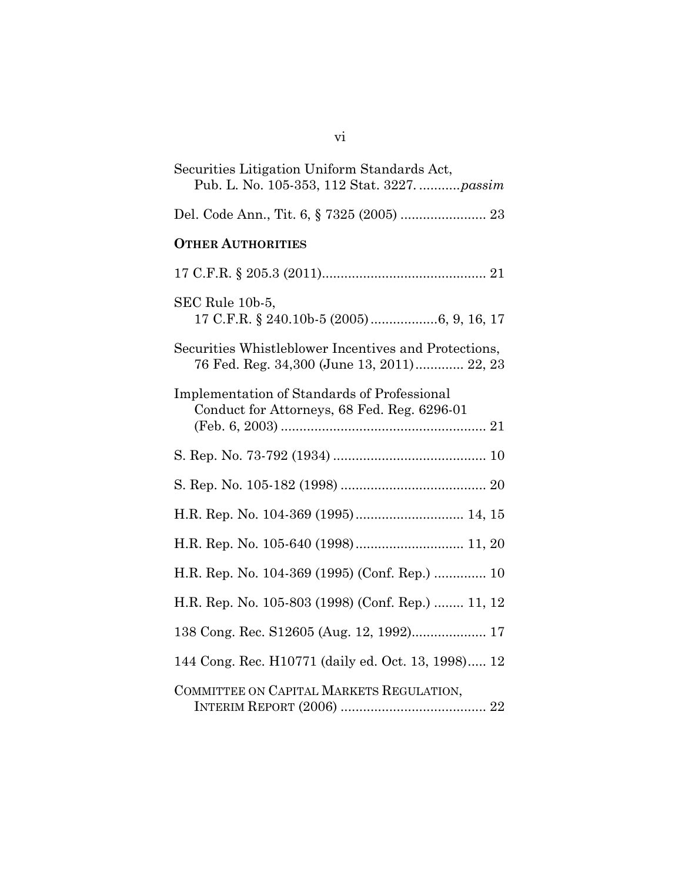| Securities Litigation Uniform Standards Act,<br>Pub. L. No. 105-353, 112 Stat. 3227.  passim       |
|----------------------------------------------------------------------------------------------------|
| Del. Code Ann., Tit. 6, § 7325 (2005)  23                                                          |
| <b>OTHER AUTHORITIES</b>                                                                           |
|                                                                                                    |
| SEC Rule 10b-5,                                                                                    |
| Securities Whistleblower Incentives and Protections,<br>76 Fed. Reg. 34,300 (June 13, 2011) 22, 23 |
| <b>Implementation of Standards of Professional</b><br>Conduct for Attorneys, 68 Fed. Reg. 6296-01  |
|                                                                                                    |
|                                                                                                    |
| H.R. Rep. No. 104-369 (1995) 14, 15                                                                |
| H.R. Rep. No. 105-640 (1998) 11, 20                                                                |
| H.R. Rep. No. 104-369 (1995) (Conf. Rep.)  10                                                      |
| H.R. Rep. No. 105-803 (1998) (Conf. Rep.)  11, 12                                                  |
| 138 Cong. Rec. S12605 (Aug. 12, 1992) 17                                                           |
| 144 Cong. Rec. H10771 (daily ed. Oct. 13, 1998) 12                                                 |
| COMMITTEE ON CAPITAL MARKETS REGULATION,                                                           |
|                                                                                                    |

vi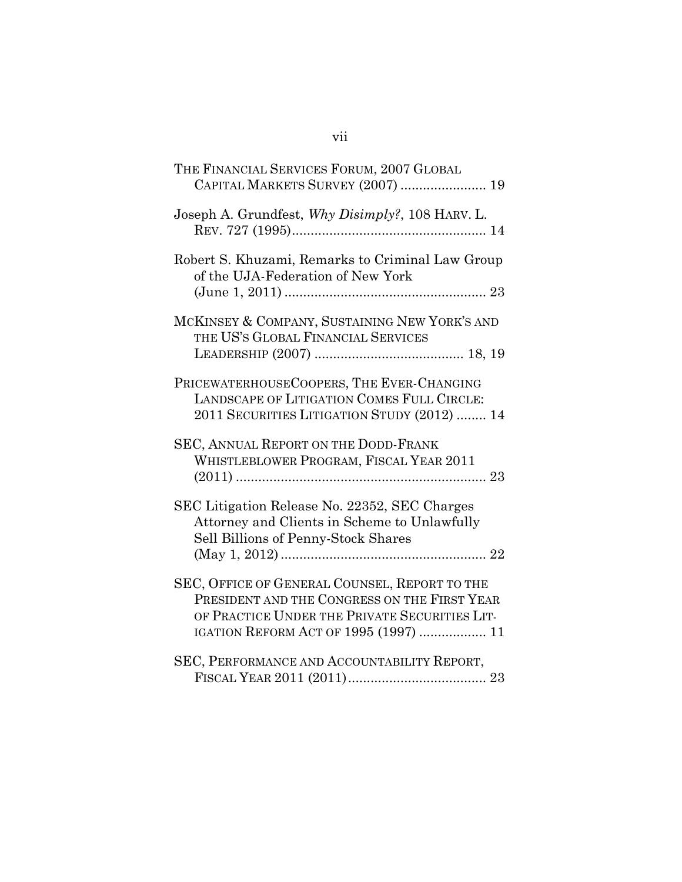| THE FINANCIAL SERVICES FORUM, 2007 GLOBAL<br>CAPITAL MARKETS SURVEY (2007)  19                                                                                                          |
|-----------------------------------------------------------------------------------------------------------------------------------------------------------------------------------------|
| Joseph A. Grundfest, Why Disimply?, 108 HARV. L.                                                                                                                                        |
| Robert S. Khuzami, Remarks to Criminal Law Group<br>of the UJA-Federation of New York                                                                                                   |
| MCKINSEY & COMPANY, SUSTAINING NEW YORK'S AND<br>THE US'S GLOBAL FINANCIAL SERVICES                                                                                                     |
| PRICEWATERHOUSECOOPERS, THE EVER-CHANGING<br>LANDSCAPE OF LITIGATION COMES FULL CIRCLE:<br>2011 SECURITIES LITIGATION STUDY (2012)  14                                                  |
| SEC, ANNUAL REPORT ON THE DODD-FRANK<br>WHISTLEBLOWER PROGRAM, FISCAL YEAR 2011                                                                                                         |
| SEC Litigation Release No. 22352, SEC Charges<br>Attorney and Clients in Scheme to Unlawfully<br>Sell Billions of Penny-Stock Shares                                                    |
| SEC, OFFICE OF GENERAL COUNSEL, REPORT TO THE<br>PRESIDENT AND THE CONGRESS ON THE FIRST YEAR<br>OF PRACTICE UNDER THE PRIVATE SECURITIES LIT-<br>IGATION REFORM ACT OF 1995 (1997)  11 |
| SEC, PERFORMANCE AND ACCOUNTABILITY REPORT,                                                                                                                                             |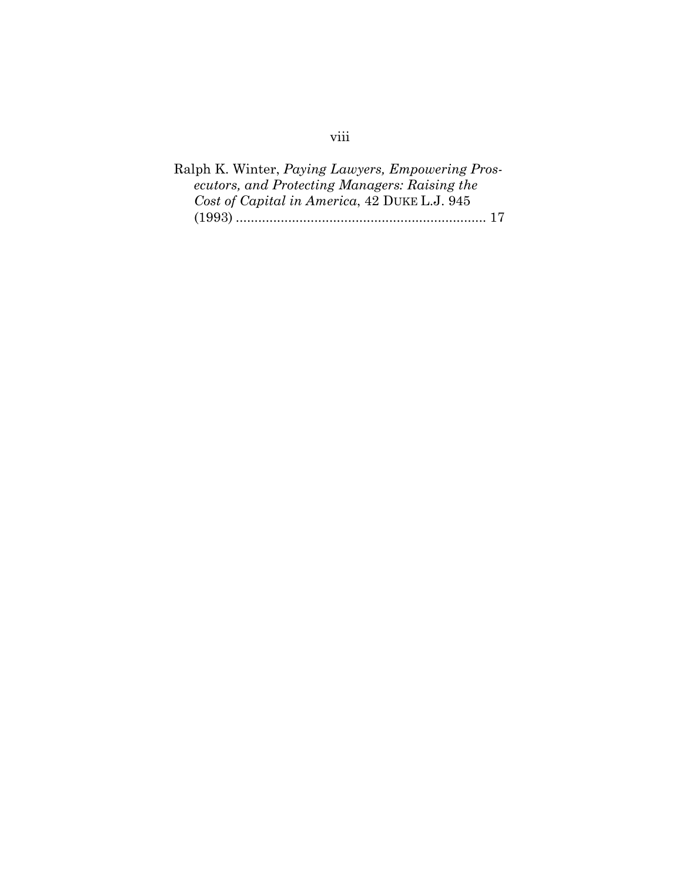## Ralph K. Winter, *Paying Lawyers, Empowering Prosecutors, and Protecting Managers: Raising the Cost of Capital in America*, 42 DUKE L.J. 945 (1993) ................................................................... 17

## viii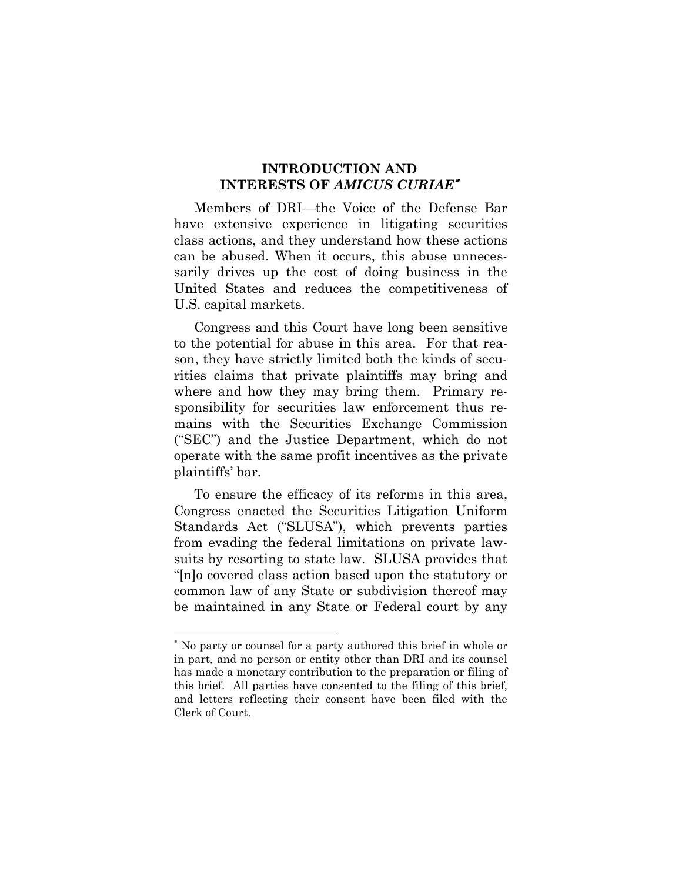#### **INTRODUCTION AND INTERESTS OF** *AMICUS CURIAE*[∗](#page-8-1)

<span id="page-8-0"></span>Members of DRI—the Voice of the Defense Bar have extensive experience in litigating securities class actions, and they understand how these actions can be abused. When it occurs, this abuse unnecessarily drives up the cost of doing business in the United States and reduces the competitiveness of U.S. capital markets.

Congress and this Court have long been sensitive to the potential for abuse in this area. For that reason, they have strictly limited both the kinds of securities claims that private plaintiffs may bring and where and how they may bring them. Primary responsibility for securities law enforcement thus remains with the Securities Exchange Commission ("SEC") and the Justice Department, which do not operate with the same profit incentives as the private plaintiffs' bar.

To ensure the efficacy of its reforms in this area, Congress enacted the Securities Litigation Uniform Standards Act ("SLUSA"), which prevents parties from evading the federal limitations on private lawsuits by resorting to state law. SLUSA provides that "[n]o covered class action based upon the statutory or common law of any State or subdivision thereof may be maintained in any State or Federal court by any

 $\overline{a}$ 

<span id="page-8-1"></span><sup>∗</sup> No party or counsel for a party authored this brief in whole or in part, and no person or entity other than DRI and its counsel has made a monetary contribution to the preparation or filing of this brief. All parties have consented to the filing of this brief, and letters reflecting their consent have been filed with the Clerk of Court.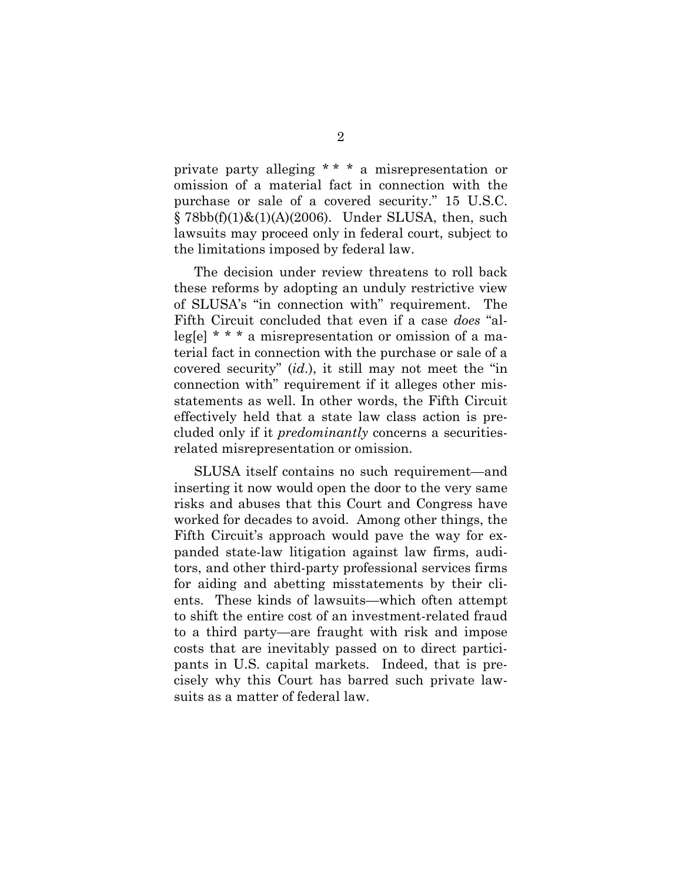private party alleging \* \* \* a misrepresentation or omission of a material fact in connection with the purchase or sale of a covered security." 15 U.S.C.  $\S 78bb(f)(1)\&(1)(A)(2006)$ . Under SLUSA, then, such lawsuits may proceed only in federal court, subject to the limitations imposed by federal law.

The decision under review threatens to roll back these reforms by adopting an unduly restrictive view of SLUSA's "in connection with" requirement. The Fifth Circuit concluded that even if a case *does* "alleg[e] \* \* \* a misrepresentation or omission of a material fact in connection with the purchase or sale of a covered security" (*id*.), it still may not meet the "in connection with" requirement if it alleges other misstatements as well. In other words, the Fifth Circuit effectively held that a state law class action is precluded only if it *predominantly* concerns a securitiesrelated misrepresentation or omission.

SLUSA itself contains no such requirement—and inserting it now would open the door to the very same risks and abuses that this Court and Congress have worked for decades to avoid. Among other things, the Fifth Circuit's approach would pave the way for expanded state-law litigation against law firms, auditors, and other third-party professional services firms for aiding and abetting misstatements by their clients. These kinds of lawsuits—which often attempt to shift the entire cost of an investment-related fraud to a third party—are fraught with risk and impose costs that are inevitably passed on to direct participants in U.S. capital markets. Indeed, that is precisely why this Court has barred such private lawsuits as a matter of federal law.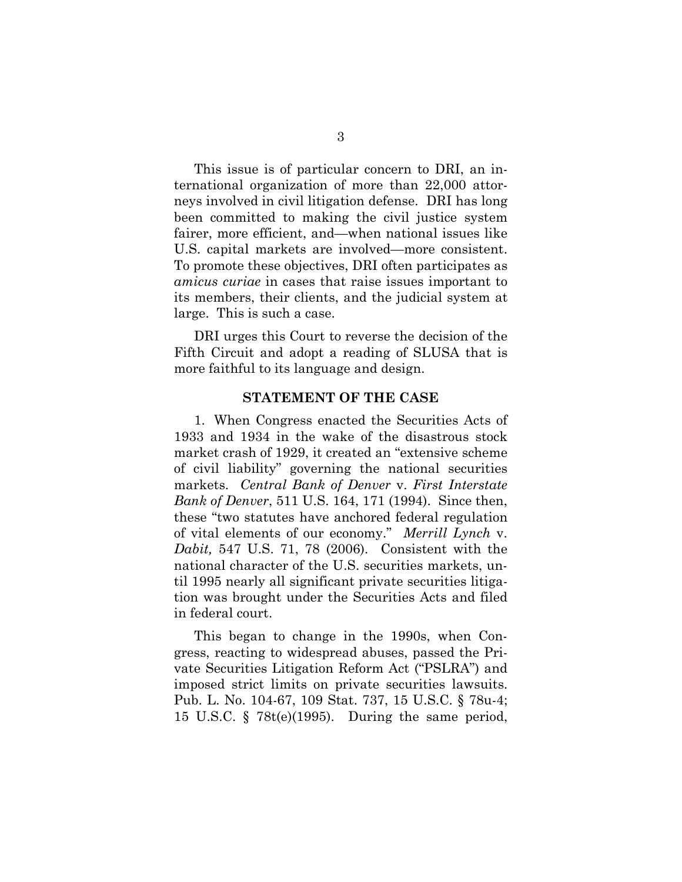This issue is of particular concern to DRI, an international organization of more than 22,000 attorneys involved in civil litigation defense. DRI has long been committed to making the civil justice system fairer, more efficient, and—when national issues like U.S. capital markets are involved—more consistent. To promote these objectives, DRI often participates as *amicus curiae* in cases that raise issues important to its members, their clients, and the judicial system at large. This is such a case.

DRI urges this Court to reverse the decision of the Fifth Circuit and adopt a reading of SLUSA that is more faithful to its language and design.

#### **STATEMENT OF THE CASE**

<span id="page-10-0"></span>1. When Congress enacted the Securities Acts of 1933 and 1934 in the wake of the disastrous stock market crash of 1929, it created an "extensive scheme of civil liability" governing the national securities markets. *Central Bank of Denver* v. *First Interstate Bank of Denver*, 511 U.S. 164, 171 (1994). Since then, these "two statutes have anchored federal regulation of vital elements of our economy." *Merrill Lynch* v. *Dabit,* 547 U.S. 71, 78 (2006). Consistent with the national character of the U.S. securities markets, until 1995 nearly all significant private securities litigation was brought under the Securities Acts and filed in federal court.

This began to change in the 1990s, when Congress, reacting to widespread abuses, passed the Private Securities Litigation Reform Act ("PSLRA") and imposed strict limits on private securities lawsuits. Pub. L. No. 104-67, 109 Stat. 737, 15 U.S.C. § 78u-4; 15 U.S.C. § 78t(e)(1995). During the same period,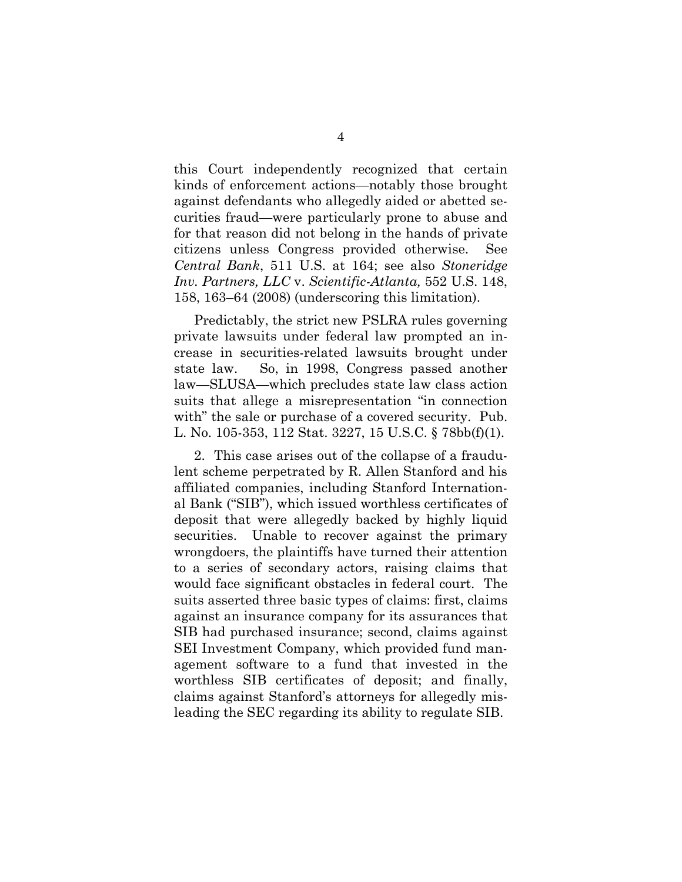this Court independently recognized that certain kinds of enforcement actions—notably those brought against defendants who allegedly aided or abetted securities fraud—were particularly prone to abuse and for that reason did not belong in the hands of private citizens unless Congress provided otherwise. See *Central Bank*, 511 U.S. at 164; see also *Stoneridge Inv. Partners, LLC* v. *Scientific-Atlanta,* 552 U.S. 148, 158, 163–64 (2008) (underscoring this limitation).

Predictably, the strict new PSLRA rules governing private lawsuits under federal law prompted an increase in securities-related lawsuits brought under state law. So, in 1998, Congress passed another law—SLUSA—which precludes state law class action suits that allege a misrepresentation "in connection with" the sale or purchase of a covered security. Pub. L. No. 105-353, 112 Stat. 3227, 15 U.S.C. § 78bb(f)(1).

2. This case arises out of the collapse of a fraudulent scheme perpetrated by R. Allen Stanford and his affiliated companies, including Stanford International Bank ("SIB"), which issued worthless certificates of deposit that were allegedly backed by highly liquid securities. Unable to recover against the primary wrongdoers, the plaintiffs have turned their attention to a series of secondary actors, raising claims that would face significant obstacles in federal court. The suits asserted three basic types of claims: first, claims against an insurance company for its assurances that SIB had purchased insurance; second, claims against SEI Investment Company, which provided fund management software to a fund that invested in the worthless SIB certificates of deposit; and finally, claims against Stanford's attorneys for allegedly misleading the SEC regarding its ability to regulate SIB.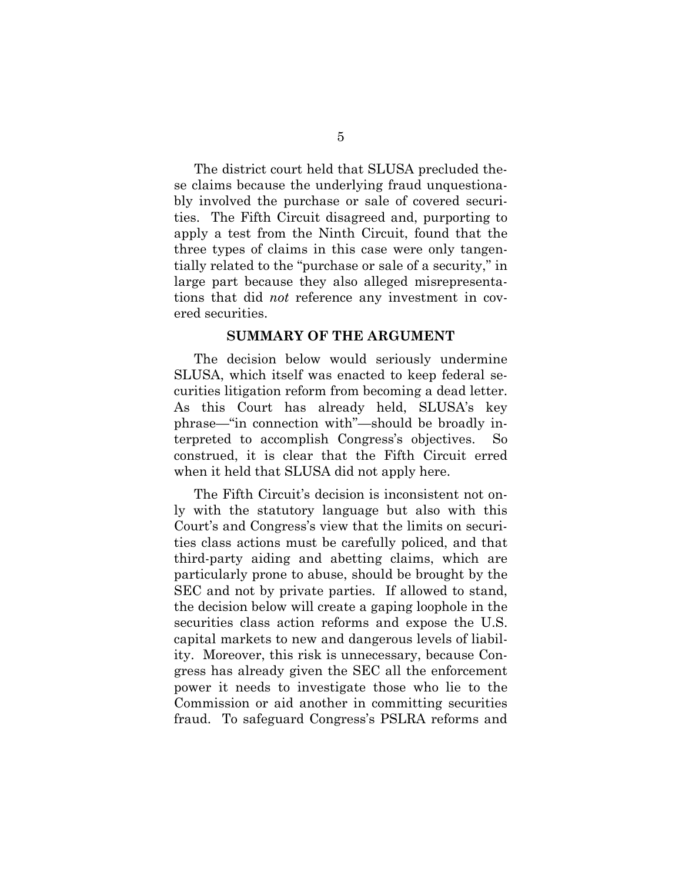The district court held that SLUSA precluded these claims because the underlying fraud unquestionably involved the purchase or sale of covered securities. The Fifth Circuit disagreed and, purporting to apply a test from the Ninth Circuit, found that the three types of claims in this case were only tangentially related to the "purchase or sale of a security," in large part because they also alleged misrepresentations that did *not* reference any investment in covered securities.

#### **SUMMARY OF THE ARGUMENT**

<span id="page-12-0"></span>The decision below would seriously undermine SLUSA, which itself was enacted to keep federal securities litigation reform from becoming a dead letter. As this Court has already held, SLUSA's key phrase—"in connection with"—should be broadly interpreted to accomplish Congress's objectives. So construed, it is clear that the Fifth Circuit erred when it held that SLUSA did not apply here.

The Fifth Circuit's decision is inconsistent not only with the statutory language but also with this Court's and Congress's view that the limits on securities class actions must be carefully policed, and that third-party aiding and abetting claims, which are particularly prone to abuse, should be brought by the SEC and not by private parties. If allowed to stand, the decision below will create a gaping loophole in the securities class action reforms and expose the U.S. capital markets to new and dangerous levels of liability. Moreover, this risk is unnecessary, because Congress has already given the SEC all the enforcement power it needs to investigate those who lie to the Commission or aid another in committing securities fraud. To safeguard Congress's PSLRA reforms and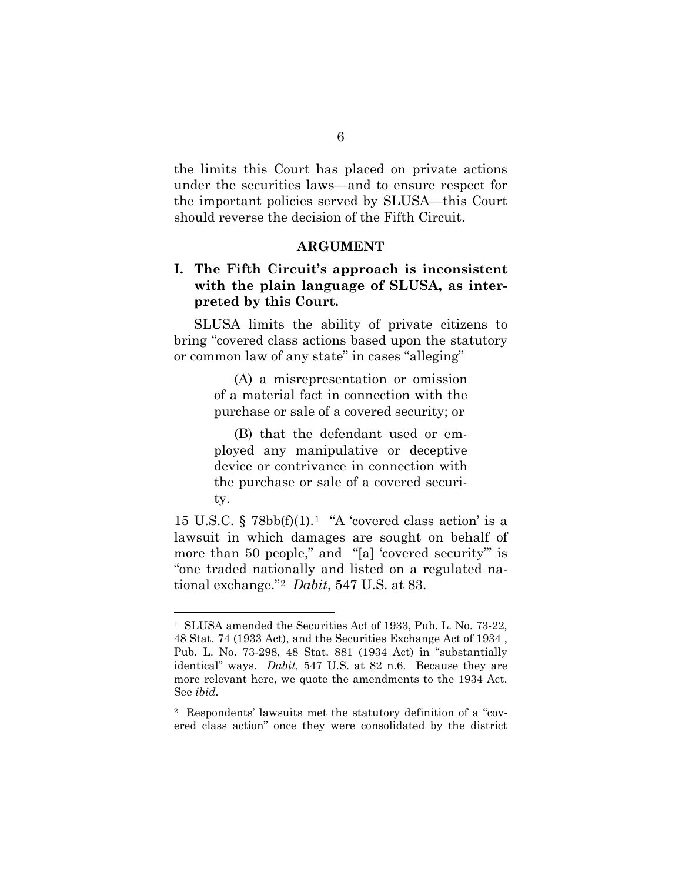the limits this Court has placed on private actions under the securities laws—and to ensure respect for the important policies served by SLUSA—this Court should reverse the decision of the Fifth Circuit.

#### **ARGUMENT**

#### <span id="page-13-1"></span><span id="page-13-0"></span>**I. The Fifth Circuit's approach is inconsistent with the plain language of SLUSA, as interpreted by this Court.**

SLUSA limits the ability of private citizens to bring "covered class actions based upon the statutory or common law of any state" in cases "alleging"

> (A) a misrepresentation or omission of a material fact in connection with the purchase or sale of a covered security; or

> (B) that the defendant used or employed any manipulative or deceptive device or contrivance in connection with the purchase or sale of a covered security.

15 U.S.C.  $\S$  78bb(f)(1).<sup>1</sup> "A 'covered class action' is a lawsuit in which damages are sought on behalf of more than 50 people," and "[a] 'covered security" is "one traded nationally and listed on a regulated national exchange."[2](#page-13-3) *Dabit*, 547 U.S. at 83.

<span id="page-13-2"></span> <sup>1</sup> SLUSA amended the Securities Act of 1933, Pub. L. No. 73-22, 48 Stat. 74 (1933 Act), and the Securities Exchange Act of 1934 , Pub. L. No. 73-298, 48 Stat. 881 (1934 Act) in "substantially identical" ways. *Dabit,* 547 U.S. at 82 n.6. Because they are more relevant here, we quote the amendments to the 1934 Act. See *ibid.* 

<span id="page-13-3"></span><sup>2</sup> Respondents' lawsuits met the statutory definition of a "covered class action" once they were consolidated by the district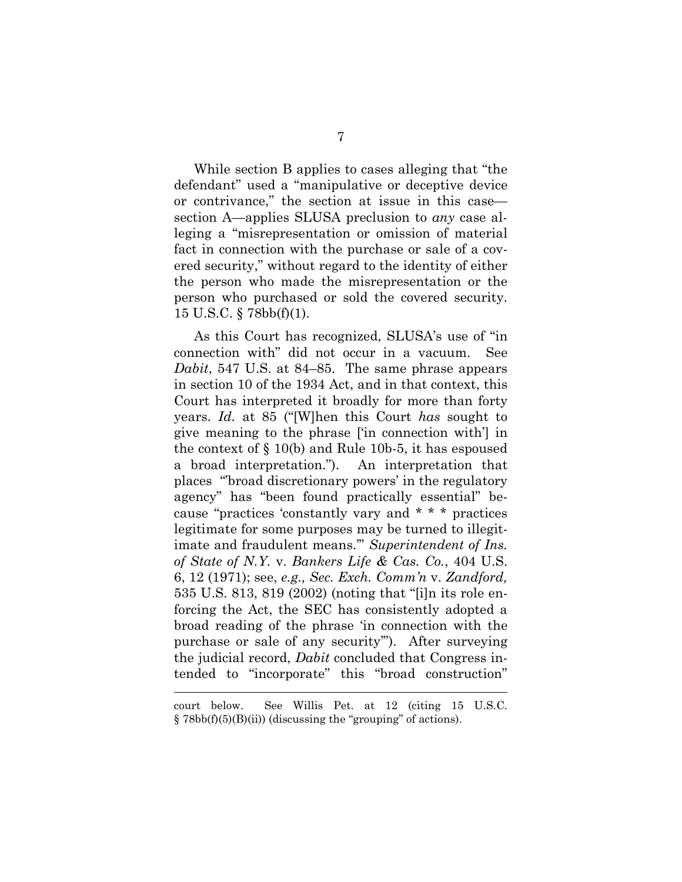While section B applies to cases alleging that "the defendant" used a "manipulative or deceptive device or contrivance," the section at issue in this case section A—applies SLUSA preclusion to *any* case alleging a "misrepresentation or omission of material fact in connection with the purchase or sale of a covered security," without regard to the identity of either the person who made the misrepresentation or the person who purchased or sold the covered security. 15 U.S.C. § 78bb(f)(1).

As this Court has recognized, SLUSA's use of "in connection with" did not occur in a vacuum. See *Dabit*, 547 U.S. at 84–85. The same phrase appears in section 10 of the 1934 Act, and in that context, this Court has interpreted it broadly for more than forty years. *Id.* at 85 ("[W]hen this Court *has* sought to give meaning to the phrase ['in connection with'] in the context of § 10(b) and Rule 10b-5, it has espoused a broad interpretation."). An interpretation that places "'broad discretionary powers' in the regulatory agency" has "been found practically essential" because "practices 'constantly vary and \* \* \* practices legitimate for some purposes may be turned to illegitimate and fraudulent means.'" *Superintendent of Ins. of State of N.Y.* v. *Bankers Life & Cas. Co.*, 404 U.S. 6, 12 (1971); see, *e.g., Sec. Exch. Comm'n* v. *Zandford,* 535 U.S. 813, 819 (2002) (noting that "[i]n its role enforcing the Act, the SEC has consistently adopted a broad reading of the phrase 'in connection with the purchase or sale of any security'"). After surveying the judicial record, *Dabit* concluded that Congress intended to "incorporate" this "broad construction"

 $\overline{a}$ 

court below. See Willis Pet. at 12 (citing 15 U.S.C.  $\S 78bb(f)(5)(B(ii))$  (discussing the "grouping" of actions).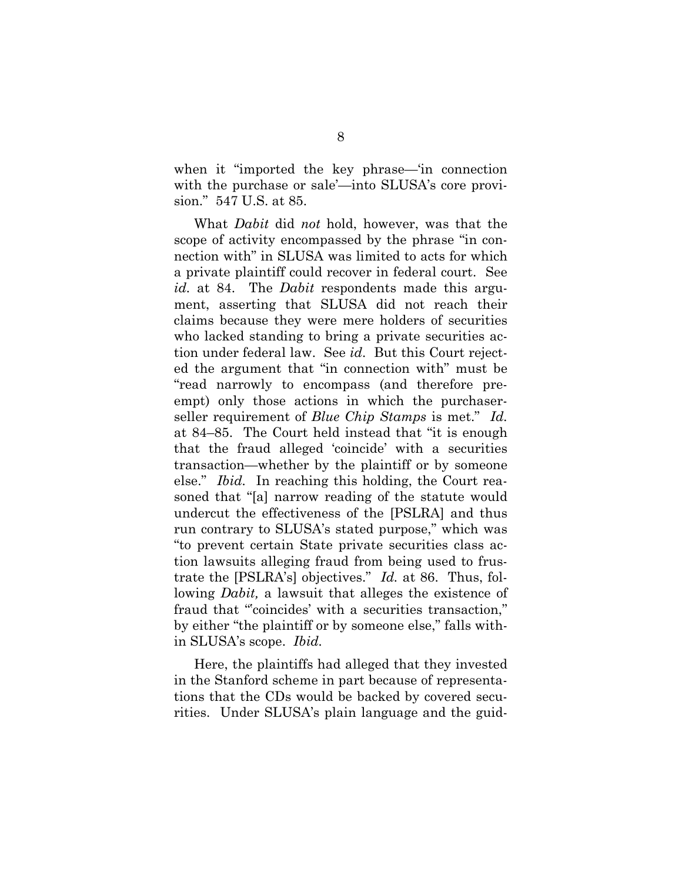when it "imported the key phrase—'in connection with the purchase or sale'—into SLUSA's core provision." 547 U.S. at 85.

What *Dabit* did *not* hold, however, was that the scope of activity encompassed by the phrase "in connection with" in SLUSA was limited to acts for which a private plaintiff could recover in federal court. See *id.* at 84. The *Dabit* respondents made this argument, asserting that SLUSA did not reach their claims because they were mere holders of securities who lacked standing to bring a private securities action under federal law. See *id*. But this Court rejected the argument that "in connection with" must be "read narrowly to encompass (and therefore preempt) only those actions in which the purchaserseller requirement of *Blue Chip Stamps* is met." *Id.* at 84–85. The Court held instead that "it is enough that the fraud alleged 'coincide' with a securities transaction—whether by the plaintiff or by someone else." *Ibid.* In reaching this holding, the Court reasoned that "[a] narrow reading of the statute would undercut the effectiveness of the [PSLRA] and thus run contrary to SLUSA's stated purpose," which was "to prevent certain State private securities class action lawsuits alleging fraud from being used to frustrate the [PSLRA's] objectives." *Id.* at 86. Thus, following *Dabit,* a lawsuit that alleges the existence of fraud that "'coincides' with a securities transaction," by either "the plaintiff or by someone else," falls within SLUSA's scope. *Ibid.* 

Here, the plaintiffs had alleged that they invested in the Stanford scheme in part because of representations that the CDs would be backed by covered securities. Under SLUSA's plain language and the guid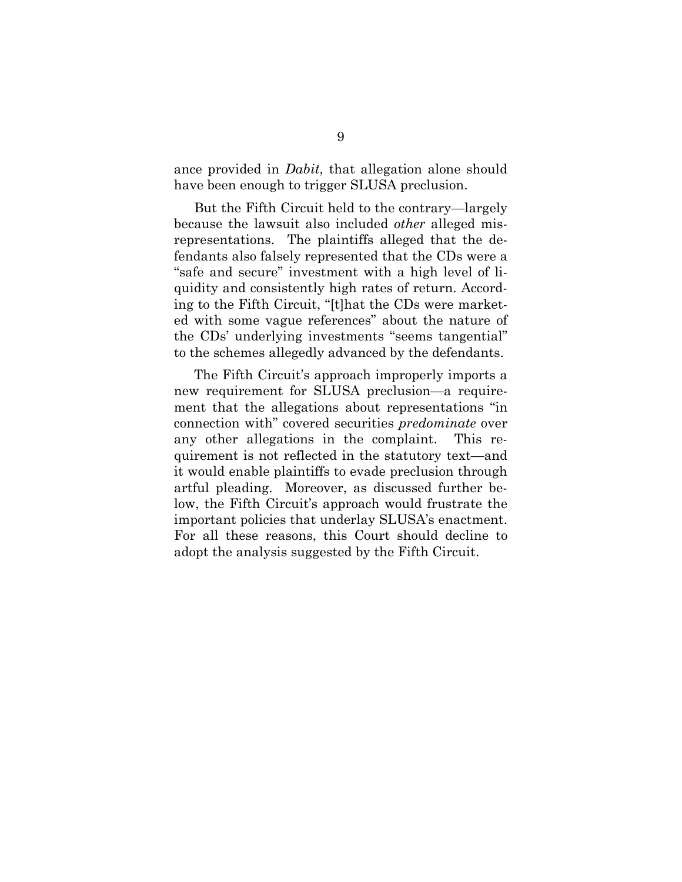ance provided in *Dabit*, that allegation alone should have been enough to trigger SLUSA preclusion.

But the Fifth Circuit held to the contrary—largely because the lawsuit also included *other* alleged misrepresentations. The plaintiffs alleged that the defendants also falsely represented that the CDs were a "safe and secure" investment with a high level of liquidity and consistently high rates of return. According to the Fifth Circuit, "[t]hat the CDs were marketed with some vague references" about the nature of the CDs' underlying investments "seems tangential" to the schemes allegedly advanced by the defendants.

The Fifth Circuit's approach improperly imports a new requirement for SLUSA preclusion—a requirement that the allegations about representations "in connection with" covered securities *predominate* over any other allegations in the complaint. This requirement is not reflected in the statutory text—and it would enable plaintiffs to evade preclusion through artful pleading. Moreover, as discussed further below, the Fifth Circuit's approach would frustrate the important policies that underlay SLUSA's enactment. For all these reasons, this Court should decline to adopt the analysis suggested by the Fifth Circuit.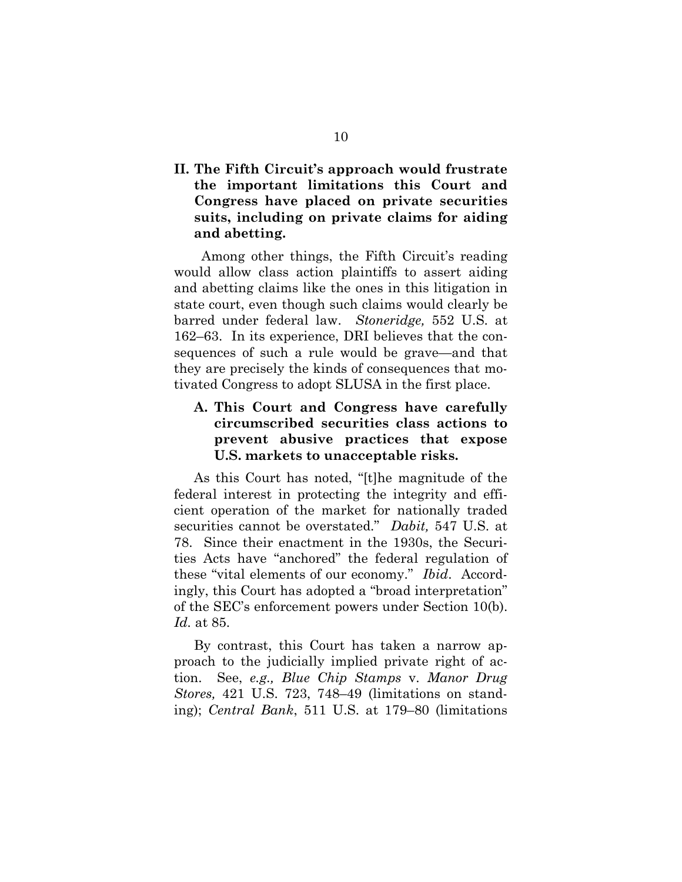#### <span id="page-17-0"></span>**II. The Fifth Circuit's approach would frustrate the important limitations this Court and Congress have placed on private securities suits, including on private claims for aiding and abetting.**

 Among other things, the Fifth Circuit's reading would allow class action plaintiffs to assert aiding and abetting claims like the ones in this litigation in state court, even though such claims would clearly be barred under federal law. *Stoneridge,* 552 U.S. at 162–63. In its experience, DRI believes that the consequences of such a rule would be grave—and that they are precisely the kinds of consequences that motivated Congress to adopt SLUSA in the first place.

### <span id="page-17-1"></span>**A. This Court and Congress have carefully circumscribed securities class actions to prevent abusive practices that expose U.S. markets to unacceptable risks.**

As this Court has noted, "[t]he magnitude of the federal interest in protecting the integrity and efficient operation of the market for nationally traded securities cannot be overstated." *Dabit,* 547 U.S. at 78. Since their enactment in the 1930s, the Securities Acts have "anchored" the federal regulation of these "vital elements of our economy." *Ibid*. Accordingly, this Court has adopted a "broad interpretation" of the SEC's enforcement powers under Section 10(b). *Id.* at 85.

By contrast, this Court has taken a narrow approach to the judicially implied private right of action. See, *e.g., Blue Chip Stamps* v. *Manor Drug Stores,* 421 U.S. 723, 748–49 (limitations on standing); *Central Bank*, 511 U.S. at 179–80 (limitations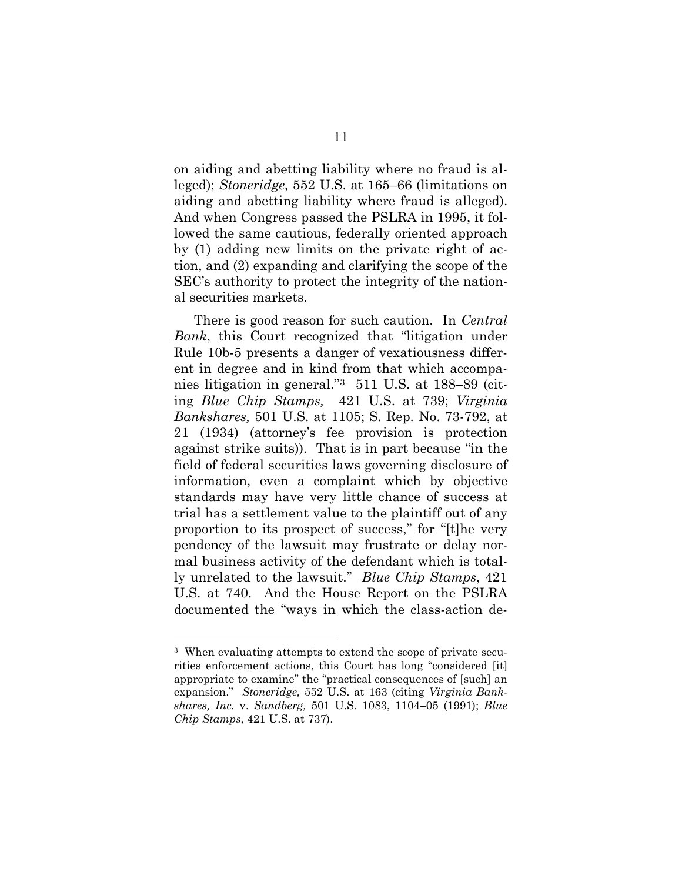on aiding and abetting liability where no fraud is alleged); *Stoneridge,* 552 U.S. at 165–66 (limitations on aiding and abetting liability where fraud is alleged). And when Congress passed the PSLRA in 1995, it followed the same cautious, federally oriented approach by (1) adding new limits on the private right of action, and (2) expanding and clarifying the scope of the SEC's authority to protect the integrity of the national securities markets.

There is good reason for such caution. In *Central Bank*, this Court recognized that "litigation under Rule 10b-5 presents a danger of vexatiousness different in degree and in kind from that which accompanies litigation in general."[3](#page-18-0) 511 U.S. at 188–89 (citing *Blue Chip Stamps,* 421 U.S. at 739; *Virginia Bankshares,* 501 U.S. at 1105; S. Rep. No. 73-792, at 21 (1934) (attorney's fee provision is protection against strike suits)). That is in part because "in the field of federal securities laws governing disclosure of information, even a complaint which by objective standards may have very little chance of success at trial has a settlement value to the plaintiff out of any proportion to its prospect of success," for "[t]he very pendency of the lawsuit may frustrate or delay normal business activity of the defendant which is totally unrelated to the lawsuit." *Blue Chip Stamps*, 421 U.S. at 740. And the House Report on the PSLRA documented the "ways in which the class-action de-

<span id="page-18-0"></span><sup>&</sup>lt;sup>3</sup> When evaluating attempts to extend the scope of private securities enforcement actions, this Court has long "considered [it] appropriate to examine" the "practical consequences of [such] an expansion." *Stoneridge,* 552 U.S. at 163 (citing *Virginia Bankshares, Inc.* v. *Sandberg,* 501 U.S. 1083, 1104–05 (1991); *Blue Chip Stamps,* 421 U.S. at 737).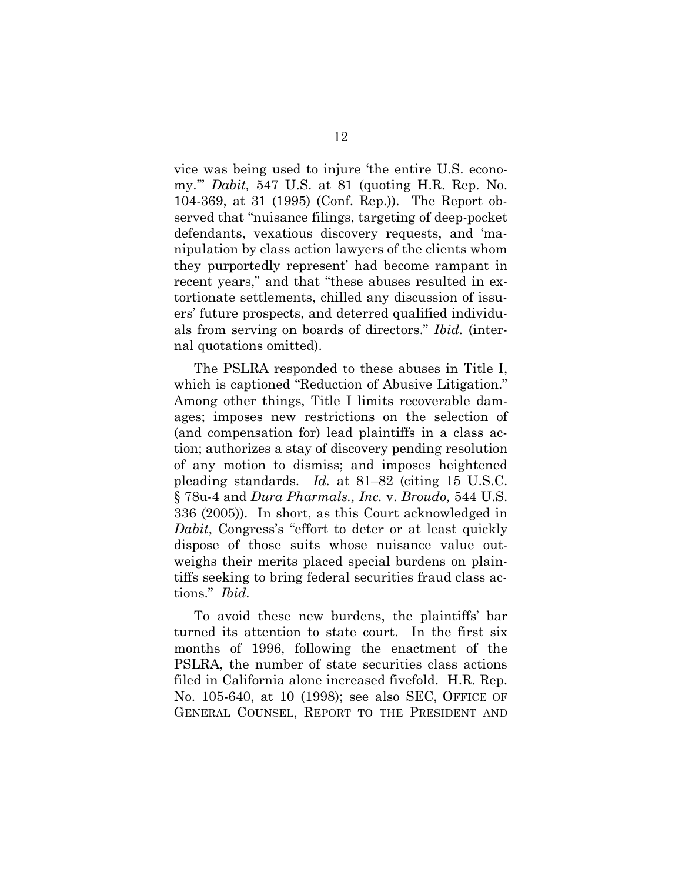vice was being used to injure 'the entire U.S. economy.'" *Dabit,* 547 U.S. at 81 (quoting H.R. Rep. No. 104-369, at 31 (1995) (Conf. Rep.)). The Report observed that "nuisance filings, targeting of deep-pocket defendants, vexatious discovery requests, and 'manipulation by class action lawyers of the clients whom they purportedly represent' had become rampant in recent years," and that "these abuses resulted in extortionate settlements, chilled any discussion of issuers' future prospects, and deterred qualified individuals from serving on boards of directors." *Ibid.* (internal quotations omitted).

The PSLRA responded to these abuses in Title I, which is captioned "Reduction of Abusive Litigation." Among other things, Title I limits recoverable damages; imposes new restrictions on the selection of (and compensation for) lead plaintiffs in a class action; authorizes a stay of discovery pending resolution of any motion to dismiss; and imposes heightened pleading standards. *Id.* at 81–82 (citing 15 U.S.C. § 78u-4 and *Dura Pharmals., Inc.* v. *Broudo,* 544 U.S. 336 (2005)). In short, as this Court acknowledged in *Dabit*, Congress's "effort to deter or at least quickly dispose of those suits whose nuisance value outweighs their merits placed special burdens on plaintiffs seeking to bring federal securities fraud class actions." *Ibid.*

To avoid these new burdens, the plaintiffs' bar turned its attention to state court. In the first six months of 1996, following the enactment of the PSLRA, the number of state securities class actions filed in California alone increased fivefold. H.R. Rep. No. 105-640, at 10 (1998); see also SEC, OFFICE OF GENERAL COUNSEL, REPORT TO THE PRESIDENT AND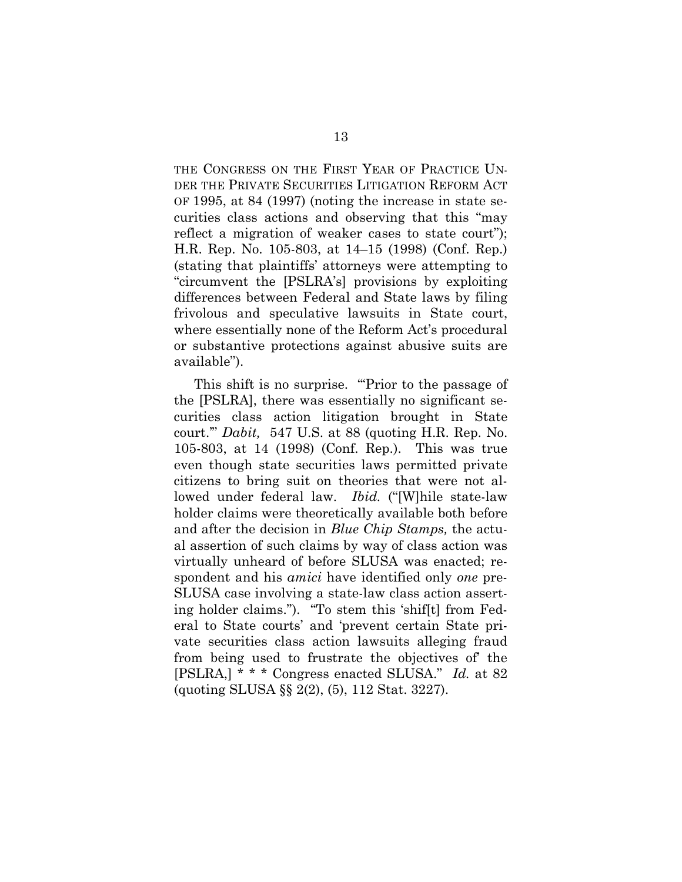THE CONGRESS ON THE FIRST YEAR OF PRACTICE UN-DER THE PRIVATE SECURITIES LITIGATION REFORM ACT OF 1995, at 84 (1997) (noting the increase in state securities class actions and observing that this "may reflect a migration of weaker cases to state court"); H.R. Rep. No. 105-803, at 14–15 (1998) (Conf. Rep.) (stating that plaintiffs' attorneys were attempting to "circumvent the [PSLRA's] provisions by exploiting differences between Federal and State laws by filing frivolous and speculative lawsuits in State court, where essentially none of the Reform Act's procedural or substantive protections against abusive suits are available").

This shift is no surprise. "Prior to the passage of the [PSLRA], there was essentially no significant securities class action litigation brought in State court.'" *Dabit,* 547 U.S. at 88 (quoting H.R. Rep. No. 105-803, at 14 (1998) (Conf. Rep.). This was true even though state securities laws permitted private citizens to bring suit on theories that were not allowed under federal law. *Ibid.* ("[W]hile state-law holder claims were theoretically available both before and after the decision in *Blue Chip Stamps,* the actual assertion of such claims by way of class action was virtually unheard of before SLUSA was enacted; respondent and his *amici* have identified only *one* pre-SLUSA case involving a state-law class action asserting holder claims."). "To stem this 'shif[t] from Federal to State courts' and 'prevent certain State private securities class action lawsuits alleging fraud from being used to frustrate the objectives of' the [PSLRA,] \* \* \* Congress enacted SLUSA." *Id.* at 82 (quoting SLUSA §§ 2(2), (5), 112 Stat. 3227).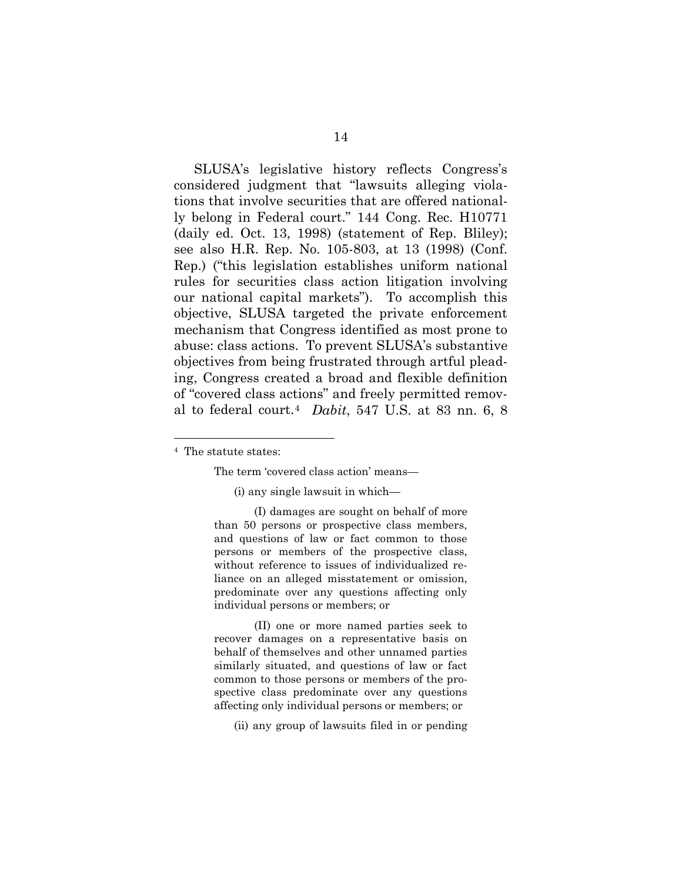SLUSA's legislative history reflects Congress's considered judgment that "lawsuits alleging violations that involve securities that are offered nationally belong in Federal court." 144 Cong. Rec. H10771 (daily ed. Oct. 13, 1998) (statement of Rep. Bliley); see also H.R. Rep. No. 105-803, at 13 (1998) (Conf. Rep.) ("this legislation establishes uniform national rules for securities class action litigation involving our national capital markets"). To accomplish this objective, SLUSA targeted the private enforcement mechanism that Congress identified as most prone to abuse: class actions. To prevent SLUSA's substantive objectives from being frustrated through artful pleading, Congress created a broad and flexible definition of "covered class actions" and freely permitted removal to federal court.[4](#page-21-0) *Dabit*, 547 U.S. at 83 nn. 6, 8

<span id="page-21-0"></span>4 The statute states:

The term 'covered class action' means—

(i) any single lawsuit in which—

(I) damages are sought on behalf of more than 50 persons or prospective class members, and questions of law or fact common to those persons or members of the prospective class, without reference to issues of individualized reliance on an alleged misstatement or omission, predominate over any questions affecting only individual persons or members; or

(II) one or more named parties seek to recover damages on a representative basis on behalf of themselves and other unnamed parties similarly situated, and questions of law or fact common to those persons or members of the prospective class predominate over any questions affecting only individual persons or members; or

(ii) any group of lawsuits filed in or pending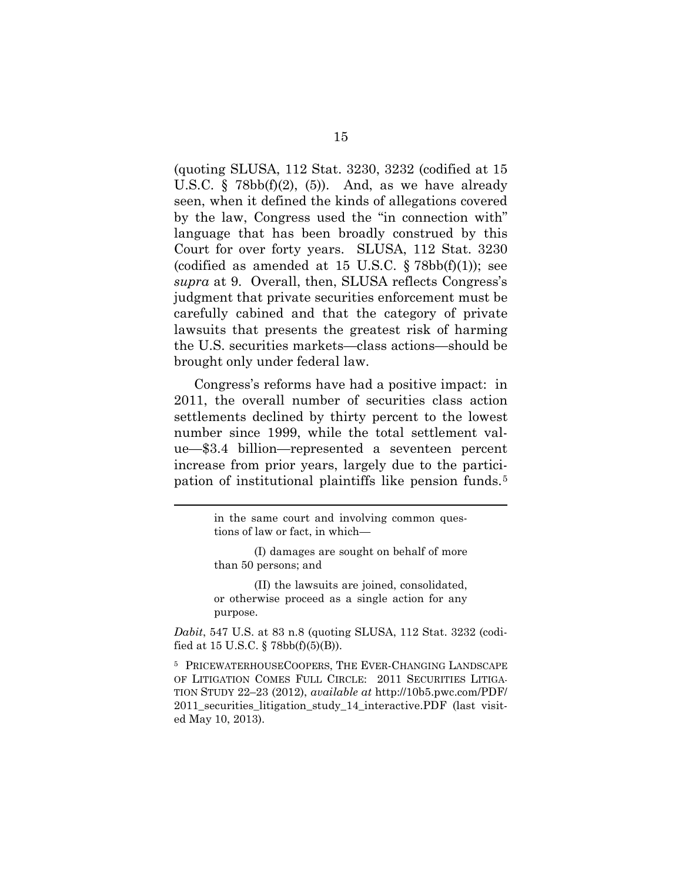(quoting SLUSA, 112 Stat. 3230, 3232 (codified at 15 U.S.C.  $\S$  78bb(f)(2), (5)). And, as we have already seen, when it defined the kinds of allegations covered by the law, Congress used the "in connection with" language that has been broadly construed by this Court for over forty years. SLUSA, 112 Stat. 3230 (codified as amended at 15 U.S.C.  $\S 78bb(f)(1)$ ); see *supra* at 9. Overall, then, SLUSA reflects Congress's judgment that private securities enforcement must be carefully cabined and that the category of private lawsuits that presents the greatest risk of harming the U.S. securities markets—class actions—should be brought only under federal law.

Congress's reforms have had a positive impact: in 2011, the overall number of securities class action settlements declined by thirty percent to the lowest number since 1999, while the total settlement value—\$3.4 billion—represented a seventeen percent increase from prior years, largely due to the participation of institutional plaintiffs like pension funds.[5](#page-22-0) 

 $\overline{a}$ 

(II) the lawsuits are joined, consolidated, or otherwise proceed as a single action for any purpose.

*Dabit*, 547 U.S. at 83 n.8 (quoting SLUSA, 112 Stat. 3232 (codified at 15 U.S.C. § 78bb(f)(5)(B)).

<span id="page-22-0"></span><sup>5</sup> PRICEWATERHOUSECOOPERS, THE EVER-CHANGING LANDSCAPE OF LITIGATION COMES FULL CIRCLE: 2011 SECURITIES LITIGA-TION STUDY 22–23 (2012), *available at* http://10b5.pwc.com/PDF/ 2011\_securities\_litigation\_study\_14\_interactive.PDF (last visited May 10, 2013).

in the same court and involving common questions of law or fact, in which—

<sup>(</sup>I) damages are sought on behalf of more than 50 persons; and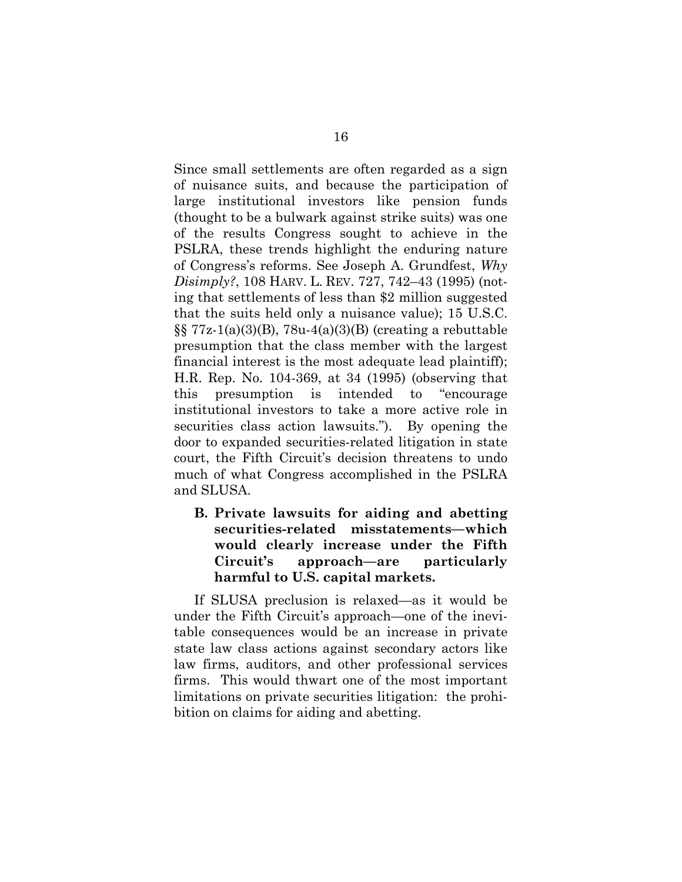Since small settlements are often regarded as a sign of nuisance suits, and because the participation of large institutional investors like pension funds (thought to be a bulwark against strike suits) was one of the results Congress sought to achieve in the PSLRA, these trends highlight the enduring nature of Congress's reforms. See Joseph A. Grundfest, *Why Disimply?*, 108 HARV. L. REV. 727, 742–43 (1995) (noting that settlements of less than \$2 million suggested that the suits held only a nuisance value); 15 U.S.C.  $\S$ [5]  $77z-1(a)(3)(B)$ ,  $78u-4(a)(3)(B)$  (creating a rebuttable presumption that the class member with the largest financial interest is the most adequate lead plaintiff); H.R. Rep. No. 104-369, at 34 (1995) (observing that this presumption is intended to "encourage institutional investors to take a more active role in securities class action lawsuits."). By opening the door to expanded securities-related litigation in state court, the Fifth Circuit's decision threatens to undo much of what Congress accomplished in the PSLRA and SLUSA.

<span id="page-23-0"></span>**B. Private lawsuits for aiding and abetting securities-related misstatements—which would clearly increase under the Fifth Circuit's approach—are particularly harmful to U.S. capital markets.** 

If SLUSA preclusion is relaxed—as it would be under the Fifth Circuit's approach—one of the inevitable consequences would be an increase in private state law class actions against secondary actors like law firms, auditors, and other professional services firms. This would thwart one of the most important limitations on private securities litigation: the prohibition on claims for aiding and abetting.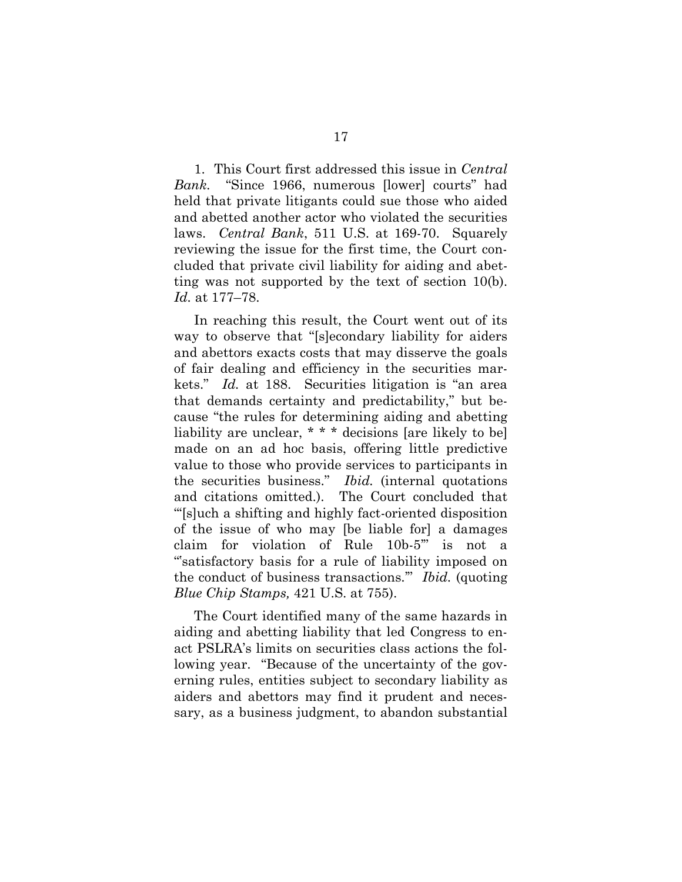1. This Court first addressed this issue in *Central Bank.* "Since 1966, numerous [lower] courts" had held that private litigants could sue those who aided and abetted another actor who violated the securities laws. *Central Bank*, 511 U.S. at 169-70. Squarely reviewing the issue for the first time, the Court concluded that private civil liability for aiding and abetting was not supported by the text of section 10(b). *Id.* at 177–78.

In reaching this result, the Court went out of its way to observe that "[s]econdary liability for aiders and abettors exacts costs that may disserve the goals of fair dealing and efficiency in the securities markets." *Id.* at 188. Securities litigation is "an area that demands certainty and predictability," but because "the rules for determining aiding and abetting liability are unclear, \* \* \* decisions [are likely to be] made on an ad hoc basis, offering little predictive value to those who provide services to participants in the securities business." *Ibid.* (internal quotations and citations omitted.). The Court concluded that "'[s]uch a shifting and highly fact-oriented disposition of the issue of who may [be liable for] a damages claim for violation of Rule 10b-5'" is not a "'satisfactory basis for a rule of liability imposed on the conduct of business transactions.'" *Ibid.* (quoting *Blue Chip Stamps,* 421 U.S. at 755).

The Court identified many of the same hazards in aiding and abetting liability that led Congress to enact PSLRA's limits on securities class actions the following year. "Because of the uncertainty of the governing rules, entities subject to secondary liability as aiders and abettors may find it prudent and necessary, as a business judgment, to abandon substantial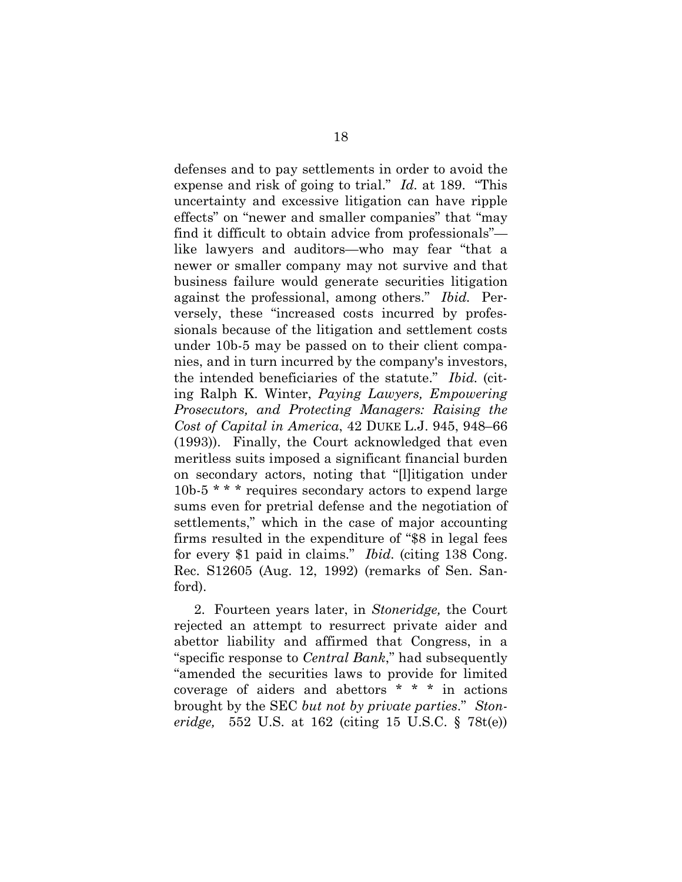defenses and to pay settlements in order to avoid the expense and risk of going to trial." *Id.* at 189. "This uncertainty and excessive litigation can have ripple effects" on "newer and smaller companies" that "may find it difficult to obtain advice from professionals" like lawyers and auditors—who may fear "that a newer or smaller company may not survive and that business failure would generate securities litigation against the professional, among others." *Ibid.* Perversely, these "increased costs incurred by professionals because of the litigation and settlement costs under 10b-5 may be passed on to their client companies, and in turn incurred by the company's investors, the intended beneficiaries of the statute." *Ibid.* (citing Ralph K. Winter, *Paying Lawyers, Empowering Prosecutors, and Protecting Managers: Raising the Cost of Capital in America*, 42 DUKE L.J. 945, 948–66 (1993)). Finally, the Court acknowledged that even meritless suits imposed a significant financial burden on secondary actors, noting that "[l]itigation under 10b-5 \* \* \* requires secondary actors to expend large sums even for pretrial defense and the negotiation of settlements," which in the case of major accounting firms resulted in the expenditure of "\$8 in legal fees for every \$1 paid in claims." *Ibid.* (citing 138 Cong. Rec. S12605 (Aug. 12, 1992) (remarks of Sen. Sanford).

2. Fourteen years later, in *Stoneridge,* the Court rejected an attempt to resurrect private aider and abettor liability and affirmed that Congress, in a "specific response to *Central Bank*," had subsequently "amended the securities laws to provide for limited coverage of aiders and abettors \* \* \* in actions brought by the SEC *but not by private parties*." *Stoneridge,* 552 U.S. at 162 (citing 15 U.S.C. § 78t(e))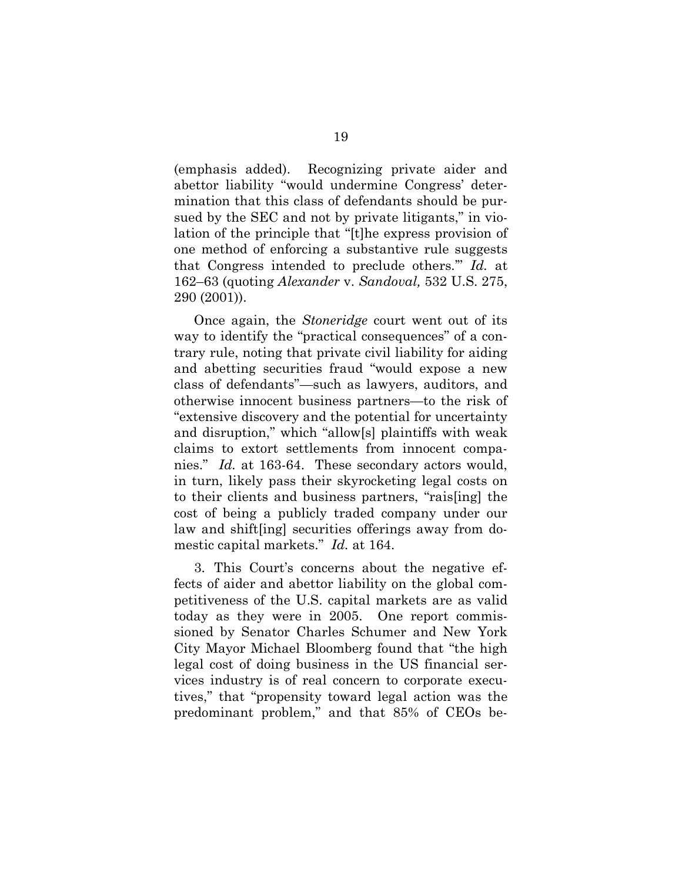(emphasis added). Recognizing private aider and abettor liability "would undermine Congress' determination that this class of defendants should be pursued by the SEC and not by private litigants," in violation of the principle that "[t]he express provision of one method of enforcing a substantive rule suggests that Congress intended to preclude others.'" *Id.* at 162–63 (quoting *Alexander* v. *Sandoval,* 532 U.S. 275, 290 (2001)).

Once again, the *Stoneridge* court went out of its way to identify the "practical consequences" of a contrary rule, noting that private civil liability for aiding and abetting securities fraud "would expose a new class of defendants"—such as lawyers, auditors, and otherwise innocent business partners—to the risk of "extensive discovery and the potential for uncertainty and disruption," which "allow[s] plaintiffs with weak claims to extort settlements from innocent companies." *Id.* at 163-64.These secondary actors would, in turn, likely pass their skyrocketing legal costs on to their clients and business partners, "rais[ing] the cost of being a publicly traded company under our law and shift[ing] securities offerings away from domestic capital markets." *Id.* at 164.

3. This Court's concerns about the negative effects of aider and abettor liability on the global competitiveness of the U.S. capital markets are as valid today as they were in 2005. One report commissioned by Senator Charles Schumer and New York City Mayor Michael Bloomberg found that "the high legal cost of doing business in the US financial services industry is of real concern to corporate executives," that "propensity toward legal action was the predominant problem," and that 85% of CEOs be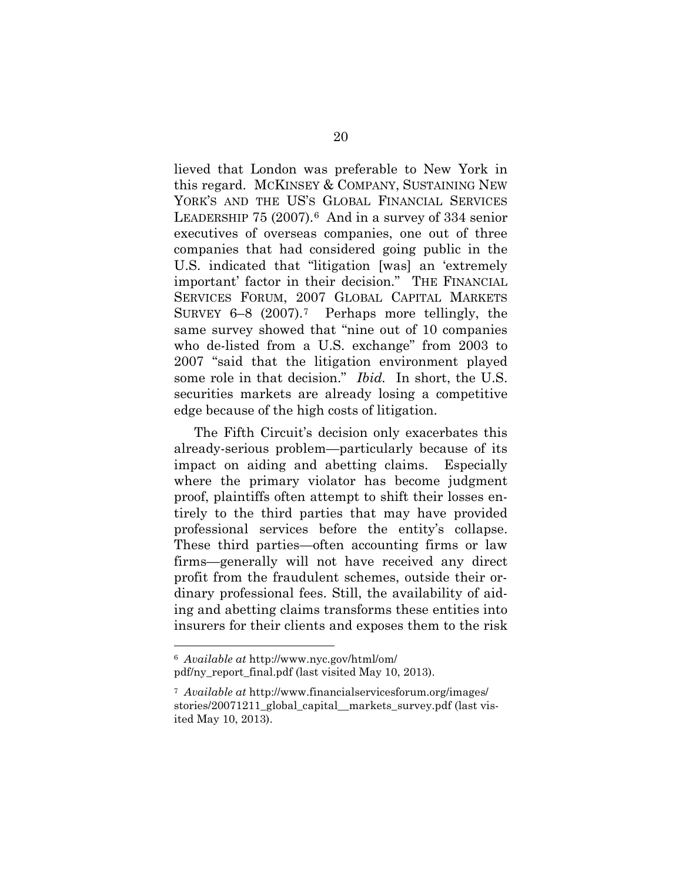lieved that London was preferable to New York in this regard. MCKINSEY & COMPANY, SUSTAINING NEW YORK'S AND THE US'S GLOBAL FINANCIAL SERVICES LEADERSHIP 75 (2007).[6](#page-27-0) And in a survey of 334 senior executives of overseas companies, one out of three companies that had considered going public in the U.S. indicated that "litigation [was] an 'extremely important' factor in their decision." THE FINANCIAL SERVICES FORUM, 2007 GLOBAL CAPITAL MARKETS SURVEY 6–8 (2007).[7](#page-27-1) Perhaps more tellingly, the same survey showed that "nine out of 10 companies who de-listed from a U.S. exchange" from 2003 to 2007 "said that the litigation environment played some role in that decision." *Ibid.* In short, the U.S. securities markets are already losing a competitive edge because of the high costs of litigation.

The Fifth Circuit's decision only exacerbates this already-serious problem—particularly because of its impact on aiding and abetting claims. Especially where the primary violator has become judgment proof, plaintiffs often attempt to shift their losses entirely to the third parties that may have provided professional services before the entity's collapse. These third parties—often accounting firms or law firms—generally will not have received any direct profit from the fraudulent schemes, outside their ordinary professional fees. Still, the availability of aiding and abetting claims transforms these entities into insurers for their clients and exposes them to the risk

<span id="page-27-0"></span> <sup>6</sup> *Available at* http://www.nyc.gov/html/om/ pdf/ny\_report\_final.pdf (last visited May 10, 2013).

<span id="page-27-1"></span><sup>7</sup> *Available at* http://www.financialservicesforum.org/images/ stories/20071211\_global\_capital\_\_markets\_survey.pdf (last visited May 10, 2013).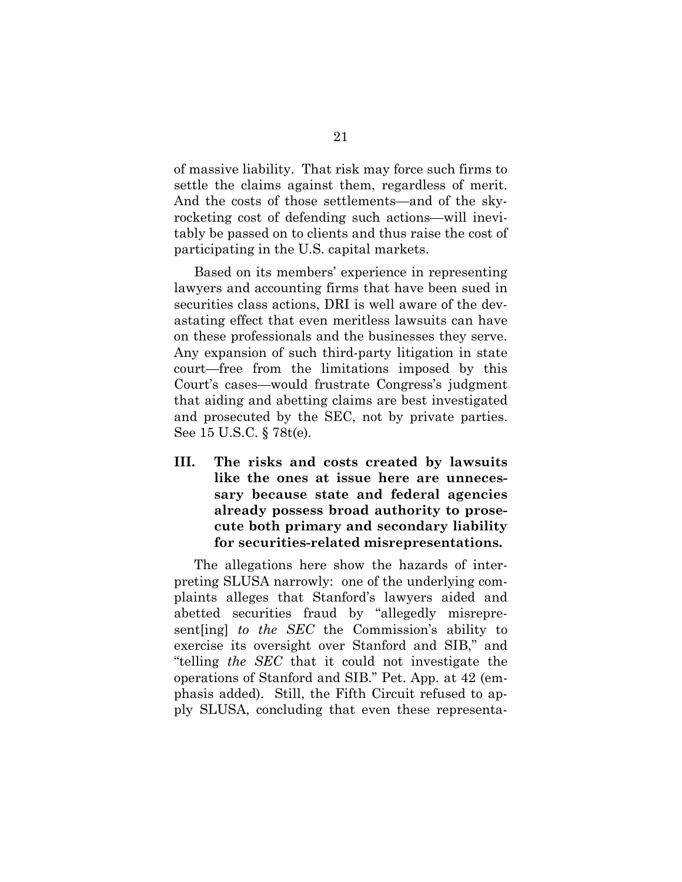of massive liability. That risk may force such firms to settle the claims against them, regardless of merit. And the costs of those settlements—and of the skyrocketing cost of defending such actions—will inevitably be passed on to clients and thus raise the cost of participating in the U.S. capital markets.

Based on its members' experience in representing lawyers and accounting firms that have been sued in securities class actions, DRI is well aware of the devastating effect that even meritless lawsuits can have on these professionals and the businesses they serve. Any expansion of such third-party litigation in state court—free from the limitations imposed by this Court's cases—would frustrate Congress's judgment that aiding and abetting claims are best investigated and prosecuted by the SEC, not by private parties. See 15 U.S.C. § 78t(e).

<span id="page-28-0"></span>**III. The risks and costs created by lawsuits like the ones at issue here are unnecessary because state and federal agencies already possess broad authority to prosecute both primary and secondary liability for securities-related misrepresentations.**

The allegations here show the hazards of interpreting SLUSA narrowly: one of the underlying complaints alleges that Stanford's lawyers aided and abetted securities fraud by "allegedly misrepresent[ing] *to the SEC* the Commission's ability to exercise its oversight over Stanford and SIB," and "telling *the SEC* that it could not investigate the operations of Stanford and SIB." Pet. App. at 42 (emphasis added). Still, the Fifth Circuit refused to apply SLUSA, concluding that even these representa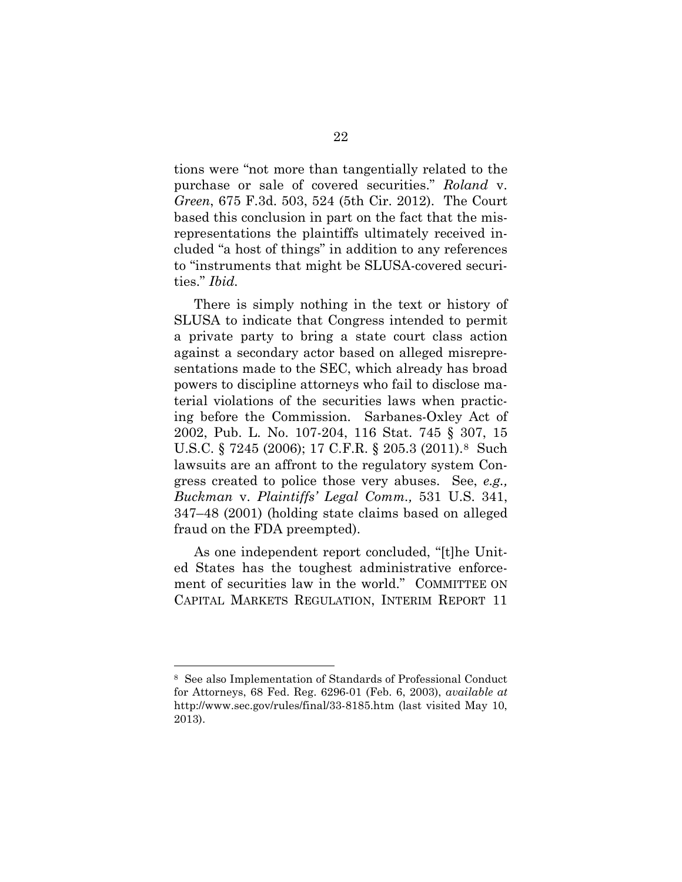tions were "not more than tangentially related to the purchase or sale of covered securities." *Roland* v. *Green*, 675 F.3d. 503, 524 (5th Cir. 2012). The Court based this conclusion in part on the fact that the misrepresentations the plaintiffs ultimately received included "a host of things" in addition to any references to "instruments that might be SLUSA-covered securities." *Ibid.*

There is simply nothing in the text or history of SLUSA to indicate that Congress intended to permit a private party to bring a state court class action against a secondary actor based on alleged misrepresentations made to the SEC, which already has broad powers to discipline attorneys who fail to disclose material violations of the securities laws when practicing before the Commission. Sarbanes-Oxley Act of 2002, Pub. L. No. 107-204, 116 Stat. 745 § 307, 15 U.S.C. § 7245 (2006); 17 C.F.R. § 205.3 (2011).[8](#page-29-0) Such lawsuits are an affront to the regulatory system Congress created to police those very abuses. See, *e.g., Buckman* v. *Plaintiffs' Legal Comm.,* 531 U.S. 341, 347–48 (2001) (holding state claims based on alleged fraud on the FDA preempted).

As one independent report concluded, "[t]he United States has the toughest administrative enforcement of securities law in the world." COMMITTEE ON CAPITAL MARKETS REGULATION, INTERIM REPORT 11

<span id="page-29-0"></span> <sup>8</sup> See also Implementation of Standards of Professional Conduct for Attorneys, 68 Fed. Reg. 6296-01 (Feb. 6, 2003), *available at*  http://www.sec.gov/rules/final/33-8185.htm (last visited May 10, 2013).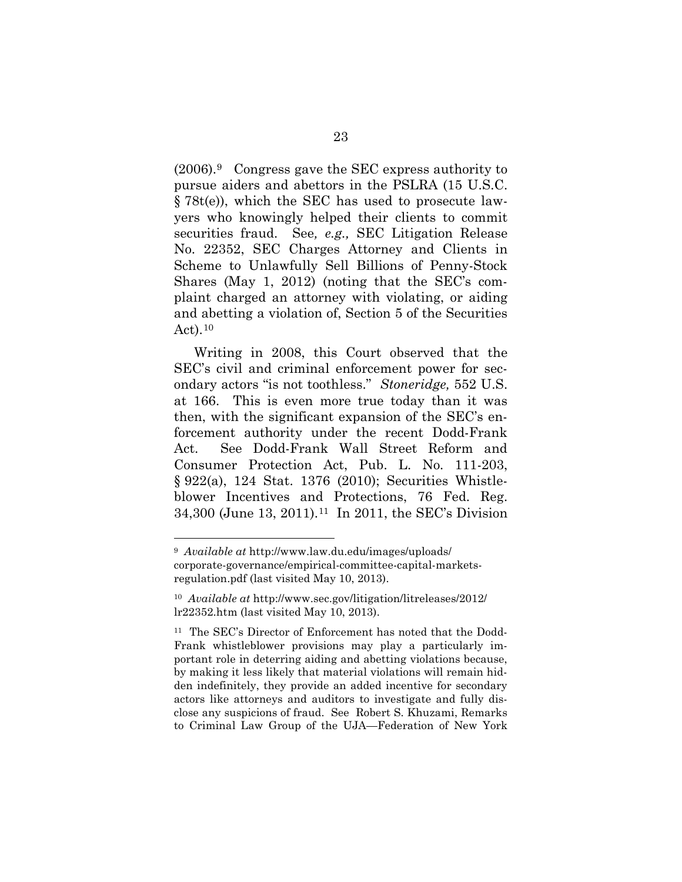(2006).[9](#page-30-0) Congress gave the SEC express authority to pursue aiders and abettors in the PSLRA (15 U.S.C. § 78t(e)), which the SEC has used to prosecute lawyers who knowingly helped their clients to commit securities fraud. See*, e.g.,* SEC Litigation Release No. 22352, SEC Charges Attorney and Clients in Scheme to Unlawfully Sell Billions of Penny-Stock Shares (May 1, 2012) (noting that the SEC's complaint charged an attorney with violating, or aiding and abetting a violation of, Section 5 of the Securities Act). $10$ 

Writing in 2008, this Court observed that the SEC's civil and criminal enforcement power for secondary actors "is not toothless." *Stoneridge,* 552 U.S. at 166. This is even more true today than it was then, with the significant expansion of the SEC's enforcement authority under the recent Dodd-Frank Act. See Dodd-Frank Wall Street Reform and Consumer Protection Act, Pub. L. No. 111-203, § 922(a), 124 Stat. 1376 (2010); Securities Whistleblower Incentives and Protections, 76 Fed. Reg. 34,300 (June 13, 2011).[11](#page-30-2) In 2011, the SEC's Division

<span id="page-30-0"></span> <sup>9</sup> *Available at* http://www.law.du.edu/images/uploads/ corporate-governance/empirical-committee-capital-marketsregulation.pdf (last visited May 10, 2013).

<span id="page-30-1"></span><sup>10</sup> *Available at* http://www.sec.gov/litigation/litreleases/2012/ lr22352.htm (last visited May 10, 2013).

<span id="page-30-2"></span><sup>11</sup> The SEC's Director of Enforcement has noted that the Dodd-Frank whistleblower provisions may play a particularly important role in deterring aiding and abetting violations because, by making it less likely that material violations will remain hidden indefinitely, they provide an added incentive for secondary actors like attorneys and auditors to investigate and fully disclose any suspicions of fraud. See Robert S. Khuzami, Remarks to Criminal Law Group of the UJA—Federation of New York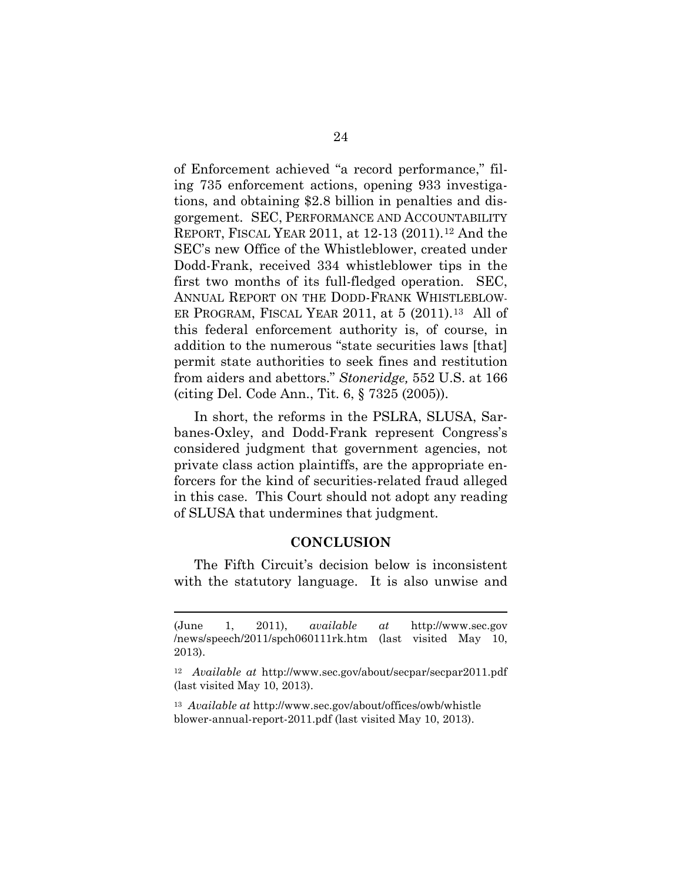of Enforcement achieved "a record performance," filing 735 enforcement actions, opening 933 investigations, and obtaining \$2.8 billion in penalties and disgorgement. SEC, PERFORMANCE AND ACCOUNTABILITY REPORT, FISCAL YEAR 2011, at 12-13 (2011).[12](#page-31-1) And the SEC's new Office of the Whistleblower, created under Dodd-Frank, received 334 whistleblower tips in the first two months of its full-fledged operation. SEC, ANNUAL REPORT ON THE DODD-FRANK WHISTLEBLOW-ER PROGRAM, FISCAL YEAR 2011, at  $5$  (2011).<sup>[13](#page-31-2)</sup> All of this federal enforcement authority is, of course, in addition to the numerous "state securities laws [that] permit state authorities to seek fines and restitution from aiders and abettors." *Stoneridge,* 552 U.S. at 166 (citing Del. Code Ann., Tit. 6, § 7325 (2005)).

In short, the reforms in the PSLRA, SLUSA, Sarbanes-Oxley, and Dodd-Frank represent Congress's considered judgment that government agencies, not private class action plaintiffs, are the appropriate enforcers for the kind of securities-related fraud alleged in this case. This Court should not adopt any reading of SLUSA that undermines that judgment.

#### **CONCLUSION**

<span id="page-31-0"></span>The Fifth Circuit's decision below is inconsistent with the statutory language. It is also unwise and

l

<span id="page-31-2"></span><sup>13</sup> *Available at* http://www.sec.gov/about/offices/owb/whistle blower-annual-report-2011.pdf (last visited May 10, 2013).

<sup>(</sup>June 1, 2011), *available at* http://www.sec.gov /news/speech/2011/spch060111rk.htm (last visited May 10, 2013).

<span id="page-31-1"></span><sup>12</sup> *Available at* http://www.sec.gov/about/secpar/secpar2011.pdf (last visited May 10, 2013).